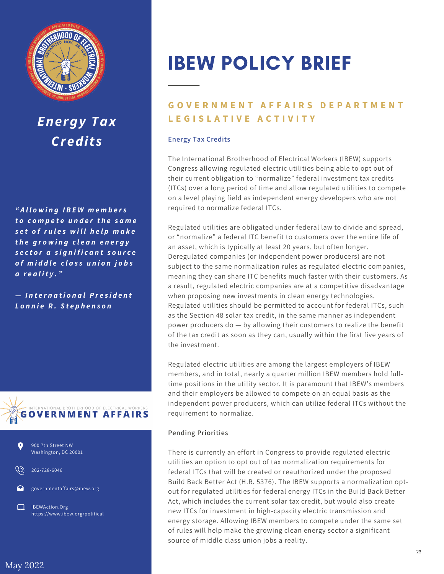

## *Energy Tax Credits*

*" A ll o w i n g I B E W m e m b e r s t o c o m p e t e u n d e r t h e s a m e s e t o f r u l e s w i l l h e l p m a k e t h e g r o w i n g c l e a n e n e r g y s e c t o r a s i g n if i c a n t s o u r c e o f m i d d le c l a s s u n io n j o b s a r e a l i t y . "*

 $-$  *International President L o n n ie R . S t e p h e n s o n*





202-728-6046

governmentaffairs@ibew.org

IBEWAction.Org  $\Box$ https://www.ibew.org/political

# IBEW POLICY BRIEF

### **GOVERNMENT AFFAIRS DEPARTMENT L E G I S L A T I V E A C T I V I T Y**

#### **Energy Tax Credits**

The International Brotherhood of Electrical Workers (IBEW) supports Congress allowing regulated electric utilities being able to opt out of their current obligation to "normalize" federal investment tax credits (ITCs) over a long period of time and allow regulated utilities to compete on a level playing field as independent energy developers who are not required to normalize federal ITCs.

Regulated utilities are obligated under federal law to divide and spread, or "normalize" a federal ITC benefit to customers over the entire life of an asset, which is typically at least 20 years, but often longer. Deregulated companies (or independent power producers) are not subject to the same normalization rules as regulated electric companies, meaning they can share ITC benefits much faster with their customers. As a result, regulated electric companies are at a competitive disadvantage when proposing new investments in clean energy technologies. Regulated utilities should be permitted to account for federal ITCs, such as the Section 48 solar tax credit, in the same manner as independent power producers do — by allowing their customers to realize the benefit of the tax credit as soon as they can, usually within the first five years of the investment.

Regulated electric utilities are among the largest employers of IBEW members, and in total, nearly a quarter million IBEW members hold fulltime positions in the utility sector. It is paramount that IBEW's members and their employers be allowed to compete on an equal basis as the independent power producers, which can utilize federal ITCs without the requirement to normalize.

#### **Pending Priorities**

There is currently an effort in Congress to provide regulated electric utilities an option to opt out of tax normalization requirements for federal ITCs that will be created or reauthorized under the proposed Build Back Better Act (H.R. 5376). The IBEW supports a normalization optout for regulated utilities for federal energy ITCs in the Build Back Better Act, which includes the current solar tax credit, but would also create new ITCs for investment in high-capacity electric transmission and energy storage. Allowing IBEW members to compete under the same set of rules will help make the growing clean energy sector a significant source of middle class union jobs a reality.